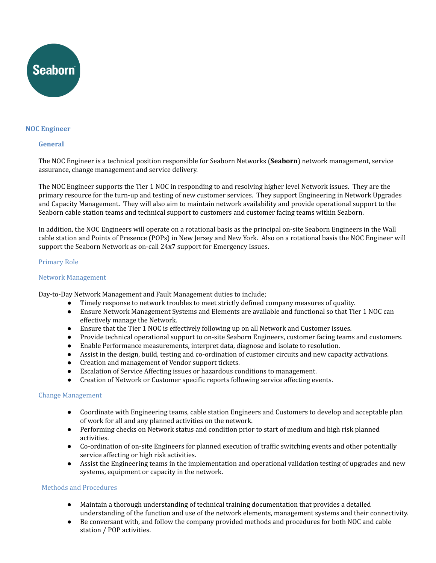

# **NOC Engineer**

#### **General**

The NOC Engineer is a technical position responsible for Seaborn Networks (**Seaborn**) network management, service assurance, change management and service delivery.

The NOC Engineer supports the Tier 1 NOC in responding to and resolving higher level Network issues. They are the primary resource for the turn-up and testing of new customer services. They support Engineering in Network Upgrades and Capacity Management. They will also aim to maintain network availability and provide operational support to the Seaborn cable station teams and technical support to customers and customer facing teams within Seaborn.

In addition, the NOC Engineers will operate on a rotational basis as the principal on-site Seaborn Engineers in the Wall cable station and Points of Presence (POPs) in New Jersey and New York. Also on a rotational basis the NOC Engineer will support the Seaborn Network as on-call 24x7 support for Emergency Issues.

#### Primary Role

#### Network Management

Day-to-Day Network Management and Fault Management duties to include;

- Timely response to network troubles to meet strictly defined company measures of quality.
- Ensure Network Management Systems and Elements are available and functional so that Tier 1 NOC can effectively manage the Network.
- Ensure that the Tier 1 NOC is effectively following up on all Network and Customer issues.
- Provide technical operational support to on-site Seaborn Engineers, customer facing teams and customers.
- Enable Performance measurements, interpret data, diagnose and isolate to resolution.
- Assist in the design, build, testing and co-ordination of customer circuits and new capacity activations.
- Creation and management of Vendor support tickets.
- Escalation of Service Affecting issues or hazardous conditions to management.
- Creation of Network or Customer specific reports following service affecting events.

#### Change Management

- Coordinate with Engineering teams, cable station Engineers and Customers to develop and acceptable plan of work for all and any planned activities on the network.
- Performing checks on Network status and condition prior to start of medium and high risk planned activities.
- Co-ordination of on-site Engineers for planned execution of traffic switching events and other potentially service affecting or high risk activities.
- Assist the Engineering teams in the implementation and operational validation testing of upgrades and new systems, equipment or capacity in the network.

# Methods and Procedures

- Maintain a thorough understanding of technical training documentation that provides a detailed understanding of the function and use of the network elements, management systems and their connectivity.
- Be conversant with, and follow the company provided methods and procedures for both NOC and cable station / POP activities.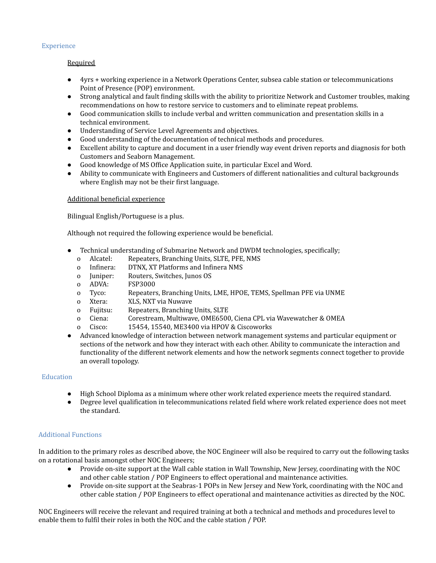# **Experience**

# **Required**

- 4yrs + working experience in a Network Operations Center, subsea cable station or telecommunications Point of Presence (POP) environment.
- Strong analytical and fault finding skills with the ability to prioritize Network and Customer troubles, making recommendations on how to restore service to customers and to eliminate repeat problems.
- Good communication skills to include verbal and written communication and presentation skills in a technical environment.
- Understanding of Service Level Agreements and objectives.
- Good understanding of the documentation of technical methods and procedures.
- Excellent ability to capture and document in a user friendly way event driven reports and diagnosis for both Customers and Seaborn Management.
- Good knowledge of MS Office Application suite, in particular Excel and Word.
- Ability to communicate with Engineers and Customers of different nationalities and cultural backgrounds where English may not be their first language.

#### Additional beneficial experience

Bilingual English/Portuguese is a plus.

Although not required the following experience would be beneficial.

- Technical understanding of Submarine Network and DWDM technologies, specifically;
	- o Alcatel: Repeaters, Branching Units, SLTE, PFE, NMS
	- o Infinera: DTNX, XT Platforms and Infinera NMS
	- o Juniper: Routers, Switches, Junos OS
	- o ADVA: FSP3000
	- o Tyco: Repeaters, Branching Units, LME, HPOE, TEMS, Spellman PFE via UNME
	- o Xtera: XLS, NXT via Nuwave
	- o Fujitsu: Repeaters, Branching Units, SLTE
	- o Ciena: Corestream, Multiwave, OME6500, Ciena CPL via Wavewatcher & OMEA
	- o Cisco: 15454, 15540, ME3400 via HPOV & Ciscoworks
- Advanced knowledge of interaction between network management systems and particular equipment or sections of the network and how they interact with each other. Ability to communicate the interaction and functionality of the different network elements and how the network segments connect together to provide an overall topology.

# **Education**

- High School Diploma as a minimum where other work related experience meets the required standard.
- Degree level qualification in telecommunications related field where work related experience does not meet the standard.

# Additional Functions

In addition to the primary roles as described above, the NOC Engineer will also be required to carry out the following tasks on a rotational basis amongst other NOC Engineers;

- Provide on-site support at the Wall cable station in Wall Township, New Jersey, coordinating with the NOC and other cable station / POP Engineers to effect operational and maintenance activities.
- Provide on-site support at the Seabras-1 POPs in New Jersey and New York, coordinating with the NOC and other cable station / POP Engineers to effect operational and maintenance activities as directed by the NOC.

NOC Engineers will receive the relevant and required training at both a technical and methods and procedures level to enable them to fulfil their roles in both the NOC and the cable station / POP.